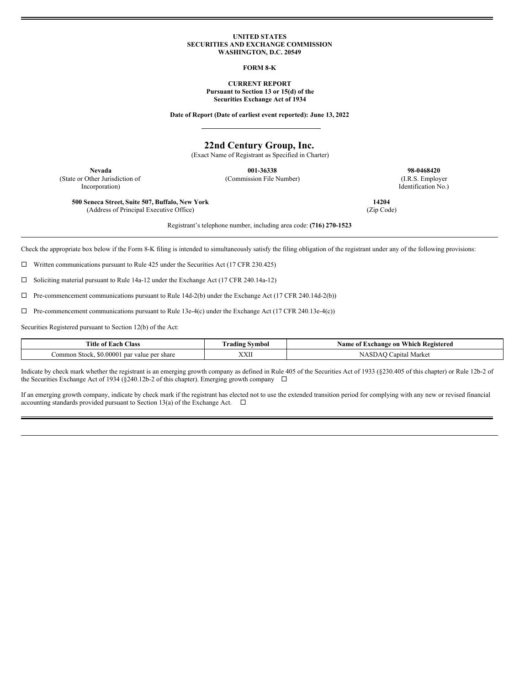### **UNITED STATES SECURITIES AND EXCHANGE COMMISSION WASHINGTON, D.C. 20549**

**FORM 8-K**

**CURRENT REPORT Pursuant to Section 13 or 15(d) of the Securities Exchange Act of 1934**

**Date of Report (Date of earliest event reported): June 13, 2022**

# **22nd Century Group, Inc.**

(Exact Name of Registrant as Specified in Charter)

(State or Other Jurisdiction of Incorporation)

**Nevada 001-36338 98-0468420** (Commission File Number) (I.R.S. Employer

Identification No.)

**14204** (Zip Code)

**500 Seneca Street, Suite 507, Buffalo, New York** (Address of Principal Executive Office)

Registrant's telephone number, including area code: **(716) 270-1523**

Check the appropriate box below if the Form 8-K filing is intended to simultaneously satisfy the filing obligation of the registrant under any of the following provisions:

 $\Box$  Written communications pursuant to Rule 425 under the Securities Act (17 CFR 230.425)

¨ Soliciting material pursuant to Rule 14a-12 under the Exchange Act (17 CFR 240.14a-12)

 $\Box$  Pre-commencement communications pursuant to Rule 14d-2(b) under the Exchange Act (17 CFR 240.14d-2(b))

 $\Box$  Pre-commencement communications pursuant to Rule 13e-4(c) under the Exchange Act (17 CFR 240.13e-4(c))

Securities Registered pursuant to Section 12(b) of the Act:

| Title.<br>Class<br>Each<br>-01                             | svmbol<br>radıng   | - Which Registered<br>-on<br>Name<br>⊥xchange<br>: OT |
|------------------------------------------------------------|--------------------|-------------------------------------------------------|
| 0.0000<br>`ommon<br>l par value per share<br>Stock.<br>SO. | <b>TTTT</b><br>ллп | Marke<br>∪apıtal                                      |

Indicate by check mark whether the registrant is an emerging growth company as defined in Rule 405 of the Securities Act of 1933 (§230.405 of this chapter) or Rule 12b-2 of the Securities Exchange Act of 1934 (§240.12b-2 of this chapter). Emerging growth company  $\Box$ 

If an emerging growth company, indicate by check mark if the registrant has elected not to use the extended transition period for complying with any new or revised financial accounting standards provided pursuant to Section 13(a) of the Exchange Act.  $\Box$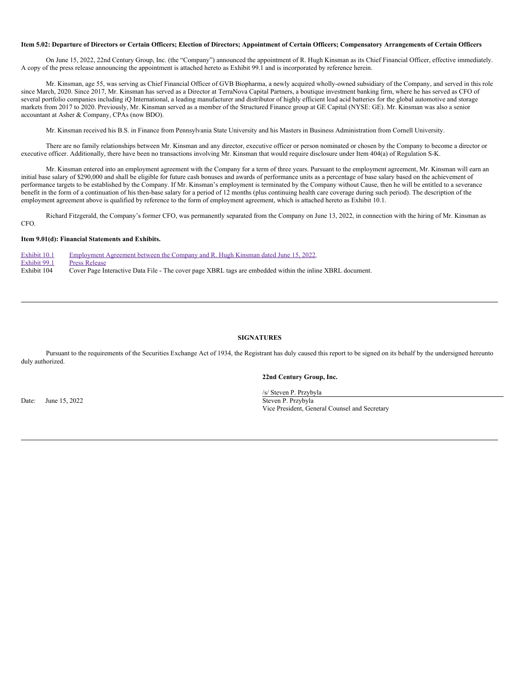### Item 5.02: Departure of Directors or Certain Officers; Election of Directors; Appointment of Certain Officers; Compensatory Arrangements of Certain Officers

On June 15, 2022, 22nd Century Group, Inc. (the "Company") announced the appointment of R. Hugh Kinsman as its Chief Financial Officer, effective immediately. A copy of the press release announcing the appointment is attached hereto as Exhibit 99.1 and is incorporated by reference herein.

Mr. Kinsman, age 55, was serving as Chief Financial Officer of GVB Biopharma, a newly acquired wholly-owned subsidiary of the Company, and served in this role since March, 2020. Since 2017, Mr. Kinsman has served as a Director at TerraNova Capital Partners, a boutique investment banking firm, where he has served as CFO of several portfolio companies including iQ International, a leading manufacturer and distributor of highly efficient lead acid batteries for the global automotive and storage markets from 2017 to 2020. Previously, Mr. Kinsman served as a member of the Structured Finance group at GE Capital (NYSE: GE). Mr. Kinsman was also a senior accountant at Asher & Company, CPAs (now BDO).

Mr. Kinsman received his B.S. in Finance from Pennsylvania State University and his Masters in Business Administration from Cornell University.

There are no family relationships between Mr. Kinsman and any director, executive officer or person nominated or chosen by the Company to become a director or executive officer. Additionally, there have been no transactions involving Mr. Kinsman that would require disclosure under Item 404(a) of Regulation S-K.

Mr. Kinsman entered into an employment agreement with the Company for a term of three years. Pursuant to the employment agreement, Mr. Kinsman will earn an initial base salary of \$290,000 and shall be eligible for future cash bonuses and awards of performance units as a percentage of base salary based on the achievement of performance targets to be established by the Company. If Mr. Kinsman's employment is terminated by the Company without Cause, then he will be entitled to a severance benefit in the form of a continuation of his then-base salary for a period of 12 months (plus continuing health care coverage during such period). The description of the employment agreement above is qualified by reference to the form of employment agreement, which is attached hereto as Exhibit 10.1.

Richard Fitzgerald, the Company's former CFO, was permanently separated from the Company on June 13, 2022, in connection with the hiring of Mr. Kinsman as CFO.

### **Item 9.01(d): Financial Statements and Exhibits.**

| Exhibit 10.1 | Employment Agreement between the Company and R. Hugh Kinsman dated June 15, 2022.                         |
|--------------|-----------------------------------------------------------------------------------------------------------|
| Exhibit 99.1 | <b>Press Release</b>                                                                                      |
| Exhibit 104  | Cover Page Interactive Data File - The cover page XBRL tags are embedded within the inline XBRL document. |

### **SIGNATURES**

Pursuant to the requirements of the Securities Exchange Act of 1934, the Registrant has duly caused this report to be signed on its behalf by the undersigned hereunto duly authorized.

# **22nd Century Group, Inc.**

Date: June 15, 2022 Steven P. Przybyła

/s/ Steven P. Przybyla Vice President, General Counsel and Secretary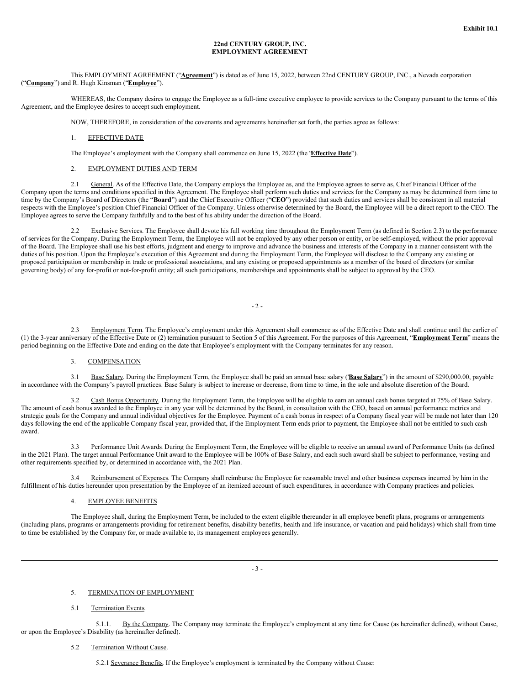### **22nd CENTURY GROUP, INC. EMPLOYMENT AGREEMENT**

# This EMPLOYMENT AGREEMENT ("**Agreement**") is dated as of June 15, 2022, between 22nd CENTURY GROUP, INC., a Nevada corporation ("**Company**") and R. Hugh Kinsman ("**Employee**").

WHEREAS, the Company desires to engage the Employee as a full-time executive employee to provide services to the Company pursuant to the terms of this Agreement, and the Employee desires to accept such employment.

NOW, THEREFORE, in consideration of the covenants and agreements hereinafter set forth, the parties agree as follows:

# 1. EFFECTIVE DATE

The Employee's employment with the Company shall commence on June 15, 2022 (the "**Effective Date**").

## 2. EMPLOYMENT DUTIES AND TERM

2.1 General. As of the Effective Date, the Company employs the Employee as, and the Employee agrees to serve as, Chief Financial Officer of the Company upon the terms and conditions specified in this Agreement. The Employee shall perform such duties and services for the Company as may be determined from time to time by the Company's Board of Directors (the "**Board**") and the Chief Executive Officer ("**CEO**") provided that such duties and services shall be consistent in all material respects with the Employee's position Chief Financial Officer of the Company. Unless otherwise determined by the Board, the Employee will be a direct report to the CEO. The Employee agrees to serve the Company faithfully and to the best of his ability under the direction of the Board.

Exclusive Services. The Employee shall devote his full working time throughout the Employment Term (as defined in Section 2.3) to the performance of services for the Company. During the Employment Term, the Employee will not be employed by any other person or entity, or be self-employed, without the prior approval of the Board. The Employee shall use his best efforts, judgment and energy to improve and advance the business and interests of the Company in a manner consistent with the duties of his position. Upon the Employee's execution of this Agreement and during the Employment Term, the Employee will disclose to the Company any existing or proposed participation or membership in trade or professional associations, and any existing or proposed appointments as a member of the board of directors (or similar governing body) of any for-profit or not-for-profit entity; all such participations, memberships and appointments shall be subject to approval by the CEO.

 $-2-$ 

2.3 Employment Term. The Employee's employment under this Agreement shall commence as of the Effective Date and shall continue until the earlier of (1) the 3-year anniversary of the Effective Date or (2) termination pursuant to Section 5 of this Agreement. For the purposes of this Agreement, "**Employment Term**" means the period beginning on the Effective Date and ending on the date that Employee's employment with the Company terminates for any reason.

### 3. COMPENSATION

3.1 Base Salary. During the Employment Term, the Employee shall be paid an annual base salary ("**Base Salary**") in the amount of \$290,000.00, payable in accordance with the Company's payroll practices. Base Salary is subject to increase or decrease, from time to time, in the sole and absolute discretion of the Board.

3.2 Cash Bonus Opportunity. During the Employment Term, the Employee will be eligible to earn an annual cash bonus targeted at 75% of Base Salary. The amount of cash bonus awarded to the Employee in any year will be determined by the Board, in consultation with the CEO, based on annual performance metrics and strategic goals for the Company and annual individual objectives for the Employee. Payment of a cash bonus in respect of a Company fiscal year will be made not later than 120 days following the end of the applicable Company fiscal year, provided that, if the Employment Term ends prior to payment, the Employee shall not be entitled to such cash award.

3.3 Performance Unit Awards. During the Employment Term, the Employee will be eligible to receive an annual award of Performance Units (as defined in the 2021 Plan). The target annual Performance Unit award to the Employee will be 100% of Base Salary, and each such award shall be subject to performance, vesting and other requirements specified by, or determined in accordance with, the 2021 Plan.

3.4 Reimbursement of Expenses. The Company shall reimburse the Employee for reasonable travel and other business expenses incurred by him in the fulfillment of his duties hereunder upon presentation by the Employee of an itemized account of such expenditures, in accordance with Company practices and policies.

## 4. EMPLOYEE BENEFITS

The Employee shall, during the Employment Term, be included to the extent eligible thereunder in all employee benefit plans, programs or arrangements (including plans, programs or arrangements providing for retirement benefits, disability benefits, health and life insurance, or vacation and paid holidays) which shall from time to time be established by the Company for, or made available to, its management employees generally.

- 3 -

#### 5. TERMINATION OF EMPLOYMENT

#### 5.1 Termination Events.

5.1.1. By the Company. The Company may terminate the Employee's employment at any time for Cause (as hereinafter defined), without Cause, or upon the Employee's Disability (as hereinafter defined).

# 5.2 Termination Without Cause.

5.2.1 Severance Benefits. If the Employee's employment is terminated by the Company without Cause: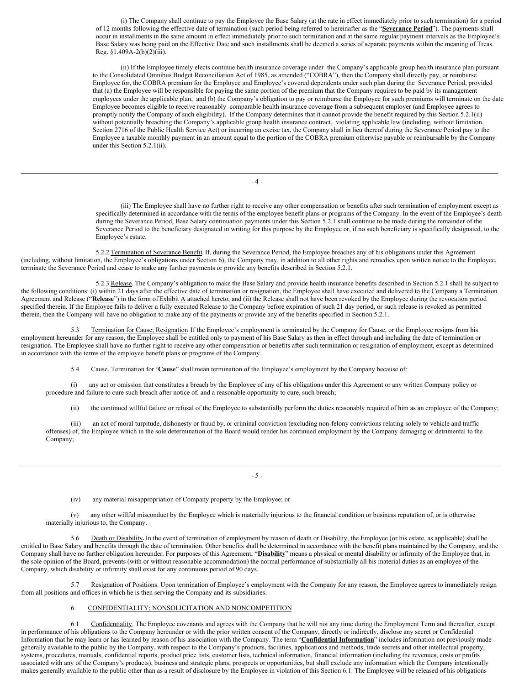(i) The Company shall continue to pay the Employee the Base Salary (at the rate in effect immediately prior to such termination) for a period of 12 months following the effective date of termination (such period being referred to hereinafter as the "**Severance Period**"). The payments shall occur in installments in the same amount in effect immediately prior to such termination and at the same regular payment intervals as the Employee's Base Salary was being paid on the Effective Date and such installments shall be deemed a series of separate payments within the meaning of Treas. Reg. §1.409A-2(b)(2)(iii).

(ii) If the Employee timely elects continue health insurance coverage under the Company's applicable group health insurance plan pursuant to the Consolidated Omnibus Budget Reconciliation Act of 1985, as amended ("COBRA"), then the Company shall directly pay, or reimburse Employee for, the COBRA premium for the Employee and Employee's covered dependents under such plan during the Severance Period, provided that (a) the Employee will be responsible for paying the same portion of the premium that the Company requires to be paid by its management employees under the applicable plan, and (b) the Company's obligation to pay or reimburse the Employee for such premiums will terminate on the date Employee becomes eligible to receive reasonably comparable health insurance coverage from a subsequent employer (and Employee agrees to promptly notify the Company of such eligibility). If the Company determines that it cannot provide the benefit required by this Section 5.2.1(ii) without potentially breaching the Company's applicable group health insurance contract, violating applicable law (including, without limitation, Section 2716 of the Public Health Service Act) or incurring an excise tax, the Company shall in lieu thereof during the Severance Period pay to the Employee a taxable monthly payment in an amount equal to the portion of the COBRA premium otherwise payable or reimbursable by the Company under this Section 5.2.1(ii).

- 4 -

(iii) The Employee shall have no further right to receive any other compensation or benefits after such termination of employment except as specifically determined in accordance with the terms of the employee benefit plans or programs of the Company. In the event of the Employee's death during the Severance Period, Base Salary continuation payments under this Section 5.2.1 shall continue to be made during the remainder of the Severance Period to the beneficiary designated in writing for this purpose by the Employee or, if no such beneficiary is specifically designated, to the Employee's estate.

5.2.2 Termination of Severance Benefit. If, during the Severance Period, the Employee breaches any of his obligations under this Agreement (including, without limitation, the Employee's obligations under Section 6), the Company may, in addition to all other rights and remedies upon written notice to the Employee, terminate the Severance Period and cease to make any further payments or provide any benefits described in Section 5.2.1.

5.2.3 Release. The Company's obligation to make the Base Salary and provide health insurance benefits described in Section 5.2.1 shall be subject to the following conditions: (i) within 21 days after the effective date of termination or resignation, the Employee shall have executed and delivered to the Company a Termination Agreement and Release ("Release") in the form of Exhibit A attached hereto, and (ii) the Release shall not have been revoked by the Employee during the revocation period specified therein. If the Employee fails to deliver a fully executed Release to the Company before expiration of such 21 day period, or such release is revoked as permitted therein, then the Company will have no obligation to make any of the payments or provide any of the benefits specified in Section 5.2.1.

5.3 Termination for Cause; Resignation. If the Employee's employment is terminated by the Company for Cause, or the Employee resigns from his employment hereunder for any reason, the Employee shall be entitled only to payment of his Base Salary as then in effect through and including the date of termination or resignation. The Employee shall have no further right to receive any other compensation or benefits after such termination or resignation of employment, except as determined in accordance with the terms of the employee benefit plans or programs of the Company.

5.4 Cause. Termination for "**Cause**" shall mean termination of the Employee's employment by the Company because of:

(i) any act or omission that constitutes a breach by the Employee of any of his obligations under this Agreement or any written Company policy or procedure and failure to cure such breach after notice of, and a reasonable opportunity to cure, such breach;

(ii) the continued willful failure or refusal of the Employee to substantially perform the duties reasonably required of him as an employee of the Company;

(iii) an act of moral turpitude, dishonesty or fraud by, or criminal conviction (excluding non-felony convictions relating solely to vehicle and traffic offenses) of, the Employee which in the sole determination of the Board would render his continued employment by the Company damaging or detrimental to the Company;

 $-5 -$ 

(iv) any material misappropriation of Company property by the Employee; or

(v) any other willful misconduct by the Employee which is materially injurious to the financial condition or business reputation of, or is otherwise materially injurious to, the Company.

5.6 Death or Disability**.** In the event of termination of employment by reason of death or Disability, the Employee (or his estate, as applicable) shall be entitled to Base Salary and benefits through the date of termination. Other benefits shall be determined in accordance with the benefit plans maintained by the Company, and the Company shall have no further obligation hereunder. For purposes of this Agreement, "**Disability**" means a physical or mental disability or infirmity of the Employee that, in the sole opinion of the Board, prevents (with or without reasonable accommodation) the normal performance of substantially all his material duties as an employee of the Company, which disability or infirmity shall exist for any continuous period of 90 days.

5.7 Resignation of Positions. Upon termination of Employee's employment with the Company for any reason, the Employee agrees to immediately resign from all positions and offices in which he is then serving the Company and its subsidiaries.

## 6. CONFIDENTIALITY; NONSOLICITATION AND NONCOMPETITION

6.1 Confidentiality. The Employee covenants and agrees with the Company that he will not any time during the Employment Term and thereafter, except in performance of his obligations to the Company hereunder or with the prior written consent of the Company, directly or indirectly, disclose any secret or Confidential Information that he may learn or has learned by reason of his association with the Company. The term "**Confidential Information**" includes information not previously made generally available to the public by the Company, with respect to the Company's products, facilities, applications and methods, trade secrets and other intellectual property, systems, procedures, manuals, confidential reports, product price lists, customer lists, technical information, financial information (including the revenues, costs or profits associated with any of the Company's products), business and strategic plans, prospects or opportunities, but shall exclude any information which the Company intentionally makes generally available to the public other than as a result of disclosure by the Employee in violation of this Section 6.1. The Employee will be released of his obligations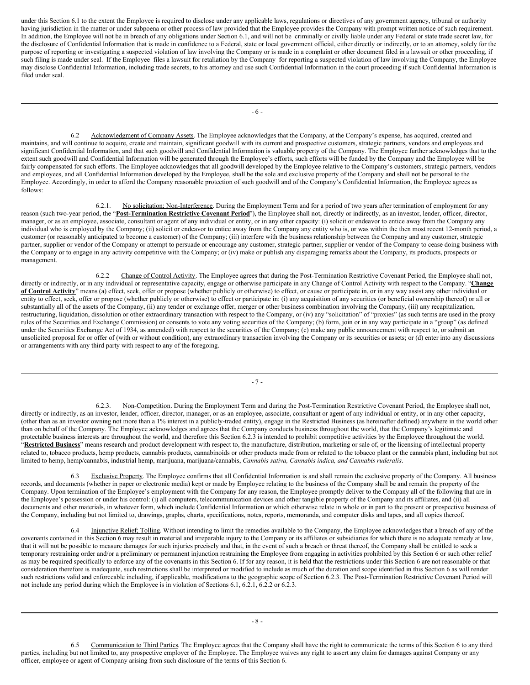<span id="page-4-0"></span>under this Section 6.1 to the extent the Employee is required to disclose under any applicable laws, regulations or directives of any government agency, tribunal or authority having jurisdiction in the matter or under subpoena or other process of law provided that the Employee provides the Company with prompt written notice of such requirement. In addition, the Employee will not be in breach of any obligations under Section 6.1, and will not be criminally or civilly liable under any Federal or state trade secret law, for the disclosure of Confidential Information that is made in confidence to a Federal, state or local government official, either directly or indirectly, or to an attorney, solely for the purpose of reporting or investigating a suspected violation of law involving the Company or is made in a complaint or other document filed in a lawsuit or other proceeding, if such filing is made under seal. If the Employee files a lawsuit for retaliation by the Company for reporting a suspected violation of law involving the Company, the Employee may disclose Confidential Information, including trade secrets, to his attorney and use such Confidential Information in the court proceeding if such Confidential Information is filed under seal.

- 6 -

6.2 Acknowledgment of Company Assets. The Employee acknowledges that the Company, at the Company's expense, has acquired, created and maintains, and will continue to acquire, create and maintain, significant goodwill with its current and prospective customers, strategic partners, vendors and employees and significant Confidential Information, and that such goodwill and Confidential Information is valuable property of the Company. The Employee further acknowledges that to the extent such goodwill and Confidential Information will be generated through the Employee's efforts, such efforts will be funded by the Company and the Employee will be fairly compensated for such efforts. The Employee acknowledges that all goodwill developed by the Employee relative to the Company's customers, strategic partners, vendors and employees, and all Confidential Information developed by the Employee, shall be the sole and exclusive property of the Company and shall not be personal to the Employee. Accordingly, in order to afford the Company reasonable protection of such goodwill and of the Company's Confidential Information, the Employee agrees as  $f_0$ llows:

6.2.1. No solicitation; Non-Interference. During the Employment Term and for a period of two years after termination of employment for any reason (such two-year period, the "**Post-Termination Restrictive Covenant Period**"), the Employee shall not, directly or indirectly, as an investor, lender, officer, director, manager, or as an employee, associate, consultant or agent of any individual or entity, or in any other capacity: (i) solicit or endeavor to entice away from the Company any individual who is employed by the Company; (ii) solicit or endeavor to entice away from the Company any entity who is, or was within the then most recent 12-month period, a customer (or reasonably anticipated to become a customer) of the Company; (iii) interfere with the business relationship between the Company and any customer, strategic partner, supplier or vendor of the Company or attempt to persuade or encourage any customer, strategic partner, supplier or vendor of the Company to cease doing business with the Company or to engage in any activity competitive with the Company; or (iv) make or publish any disparaging remarks about the Company, its products, prospects or management.

6.2.2 Change of Control Activity. The Employee agrees that during the Post-Termination Restrictive Covenant Period, the Employee shall not, directly or indirectly, or in any individual or representative capacity, engage or otherwise participate in any Change of Control Activity with respect to the Company. "**Change of Control Activity**" means (a) effect, seek, offer or propose (whether publicly or otherwise) to effect, or cause or participate in, or in any way assist any other individual or entity to effect, seek, offer or propose (whether publicly or otherwise) to effect or participate in: (i) any acquisition of any securities (or beneficial ownership thereof) or all or substantially all of the assets of the Company, (ii) any tender or exchange offer, merger or other business combination involving the Company, (iii) any recapitalization, restructuring, liquidation, dissolution or other extraordinary transaction with respect to the Company, or (iv) any "solicitation" of "proxies" (as such terms are used in the proxy rules of the Securities and Exchange Commission) or consents to vote any voting securities of the Company; (b) form, join or in any way participate in a "group" (as defined under the Securities Exchange Act of 1934, as amended) with respect to the securities of the Company; (c) make any public announcement with respect to, or submit an unsolicited proposal for or offer of (with or without condition), any extraordinary transaction involving the Company or its securities or assets; or (d) enter into any discussions or arrangements with any third party with respect to any of the foregoing.

- 7 -

6.2.3. Non-Competition. During the Employment Term and during the Post-Termination Restrictive Covenant Period, the Employee shall not, directly or indirectly, as an investor, lender, officer, director, manager, or as an employee, associate, consultant or agent of any individual or entity, or in any other capacity, (other than as an investor owning not more than a 1% interest in a publicly-traded entity), engage in the Restricted Business (as hereinafter defined) anywhere in the world other than on behalf of the Company. The Employee acknowledges and agrees that the Company conducts business throughout the world, that the Company's legitimate and protectable business interests are throughout the world, and therefore this Section 6.2.3 is intended to prohibit competitive activities by the Employee throughout the world. "**Restricted Business**" means research and product development with respect to, the manufacture, distribution, marketing or sale of, or the licensing of intellectual property related to, tobacco products, hemp products, cannabis products, cannabinoids or other products made from or related to the tobacco plant or the cannabis plant, including but not limited to hemp, hemp/cannabis, industrial hemp, marijuana, marijuana/cannabis, *Cannabis sativa, Cannabis indica, and Cannabis ruderalis*.

6.3 Exclusive Property. The Employee confirms that all Confidential Information is and shall remain the exclusive property of the Company. All business records, and documents (whether in paper or electronic media) kept or made by Employee relating to the business of the Company shall be and remain the property of the Company. Upon termination of the Employee's employment with the Company for any reason, the Employee promptly deliver to the Company all of the following that are in the Employee's possession or under his control: (i) all computers, telecommunication devices and other tangible property of the Company and its affiliates, and (ii) all documents and other materials, in whatever form, which include Confidential Information or which otherwise relate in whole or in part to the present or prospective business of the Company, including but not limited to, drawings, graphs, charts, specifications, notes, reports, memoranda, and computer disks and tapes, and all copies thereof.

6.4 Injunctive Relief; Tolling. Without intending to limit the remedies available to the Company, the Employee acknowledges that a breach of any of the covenants contained in this Section 6 may result in material and irreparable injury to the Company or its affiliates or subsidiaries for which there is no adequate remedy at law, that it will not be possible to measure damages for such injuries precisely and that, in the event of such a breach or threat thereof, the Company shall be entitled to seek a temporary restraining order and/or a preliminary or permanent injunction restraining the Employee from engaging in activities prohibited by this Section 6 or such other relief as may be required specifically to enforce any of the covenants in this Section 6. If for any reason, it is held that the restrictions under this Section 6 are not reasonable or that consideration therefore is inadequate, such restrictions shall be interpreted or modified to include as much of the duration and scope identified in this Section 6 as will render such restrictions valid and enforceable including, if applicable, modifications to the geographic scope of Section 6.2.3. The Post-Termination Restrictive Covenant Period will not include any period during which the Employee is in violation of Sections 6.1, 6.2.1, 6.2.2 or 6.2.3.

6.5 Communication to Third Parties. The Employee agrees that the Company shall have the right to communicate the terms of this Section 6 to any third parties, including but not limited to, any prospective employer of the Employee. The Employee waives any right to assert any claim for damages against Company or any officer, employee or agent of Company arising from such disclosure of the terms of this Section 6.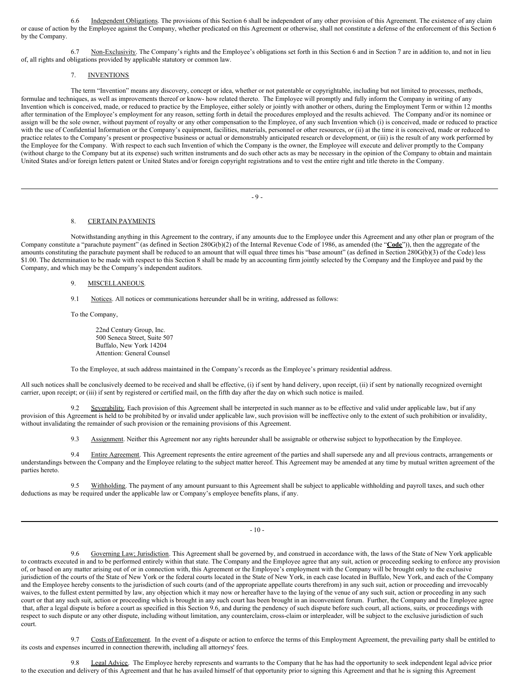6.6 Independent Obligations. The provisions of this Section 6 shall be independent of any other provision of this Agreement. The existence of any claim or cause of action by the Employee against the Company, whether predicated on this Agreement or otherwise, shall not constitute a defense of the enforcement of this Section 6 by the Company.

6.7 Non-Exclusivity. The Company's rights and the Employee's obligations set forth in this Section 6 and in Section 7 are in addition to, and not in lieu of, all rights and obligations provided by applicable statutory or common law.

# 7. INVENTIONS

The term "Invention" means any discovery, concept or idea, whether or not patentable or copyrightable, including but not limited to processes, methods, formulae and techniques, as well as improvements thereof or know- how related thereto. The Employee will promptly and fully inform the Company in writing of any Invention which is conceived, made, or reduced to practice by the Employee, either solely or jointly with another or others, during the Employment Term or within 12 months after termination of the Employee's employment for any reason, setting forth in detail the procedures employed and the results achieved. The Company and/or its nominee or assign will be the sole owner, without payment of royalty or any other compensation to the Employee, of any such Invention which (i) is conceived, made or reduced to practice with the use of Confidential Information or the Company's equipment, facilities, materials, personnel or other resources, or (ii) at the time it is conceived, made or reduced to practice relates to the Company's present or prospective business or actual or demonstrably anticipated research or development, or (iii) is the result of any work performed by the Employee for the Company. With respect to each such Invention of which the Company is the owner, the Employee will execute and deliver promptly to the Company (without charge to the Company but at its expense) such written instruments and do such other acts as may be necessary in the opinion of the Company to obtain and maintain United States and/or foreign letters patent or United States and/or foreign copyright registrations and to vest the entire right and title thereto in the Company.

- 9 -

### 8. CERTAIN PAYMENTS

Notwithstanding anything in this Agreement to the contrary, if any amounts due to the Employee under this Agreement and any other plan or program of the Company constitute a "parachute payment" (as defined in Section 280G(b)(2) of the Internal Revenue Code of 1986, as amended (the "**Code**")), then the aggregate of the amounts constituting the parachute payment shall be reduced to an amount that will equal three times his "base amount" (as defined in Section 280G(b)(3) of the Code) less \$1.00. The determination to be made with respect to this Section 8 shall be made by an accounting firm jointly selected by the Company and the Employee and paid by the Company, and which may be the Company's independent auditors.

9. MISCELLANEOUS.

9.1 Notices. All notices or communications hereunder shall be in writing, addressed as follows:

To the Company,

22nd Century Group, Inc. 500 Seneca Street, Suite 507 Buffalo, New York 14204 Attention: General Counsel

To the Employee, at such address maintained in the Company's records as the Employee's primary residential address.

All such notices shall be conclusively deemed to be received and shall be effective, (i) if sent by hand delivery, upon receipt, (ii) if sent by nationally recognized overnight carrier, upon receipt; or (iii) if sent by registered or certified mail, on the fifth day after the day on which such notice is mailed.

9.2 Severability. Each provision of this Agreement shall be interpreted in such manner as to be effective and valid under applicable law, but if any provision of this Agreement is held to be prohibited by or invalid under applicable law, such provision will be ineffective only to the extent of such prohibition or invalidity, without invalidating the remainder of such provision or the remaining provisions of this Agreement.

9.3 Assignment. Neither this Agreement nor any rights hereunder shall be assignable or otherwise subject to hypothecation by the Employee.

9.4 Entire Agreement. This Agreement represents the entire agreement of the parties and shall supersede any and all previous contracts, arrangements or understandings between the Company and the Employee relating to the subject matter hereof. This Agreement may be amended at any time by mutual written agreement of the parties hereto.

9.5 Withholding. The payment of any amount pursuant to this Agreement shall be subject to applicable withholding and payroll taxes, and such other deductions as may be required under the applicable law or Company's employee benefits plans, if any.

- 10 -

9.6 Governing Law; Jurisdiction. This Agreement shall be governed by, and construed in accordance with, the laws of the State of New York applicable to contracts executed in and to be performed entirely within that state. The Company and the Employee agree that any suit, action or proceeding seeking to enforce any provision of, or based on any matter arising out of or in connection with, this Agreement or the Employee's employment with the Company will be brought only to the exclusive jurisdiction of the courts of the State of New York or the federal courts located in the State of New York, in each case located in Buffalo, New York, and each of the Company and the Employee hereby consents to the jurisdiction of such courts (and of the appropriate appellate courts therefrom) in any such suit, action or proceeding and irrevocably waives, to the fullest extent permitted by law, any objection which it may now or hereafter have to the laying of the venue of any such suit, action or proceeding in any such court or that any such suit, action or proceeding which is brought in any such court has been brought in an inconvenient forum. Further, the Company and the Employee agree that, after a legal dispute is before a court as specified in this Section 9.6, and during the pendency of such dispute before such court, all actions, suits, or proceedings with respect to such dispute or any other dispute, including without limitation, any counterclaim, cross-claim or interpleader, will be subject to the exclusive jurisdiction of such court.

9.7 Costs of Enforcement. In the event of a dispute or action to enforce the terms of this Employment Agreement, the prevailing party shall be entitled to its costs and expenses incurred in connection therewith, including all attorneys' fees.

9.8 Legal Advice. The Employee hereby represents and warrants to the Company that he has had the opportunity to seek independent legal advice prior to the execution and delivery of this Agreement and that he has availed himself of that opportunity prior to signing this Agreement and that he is signing this Agreement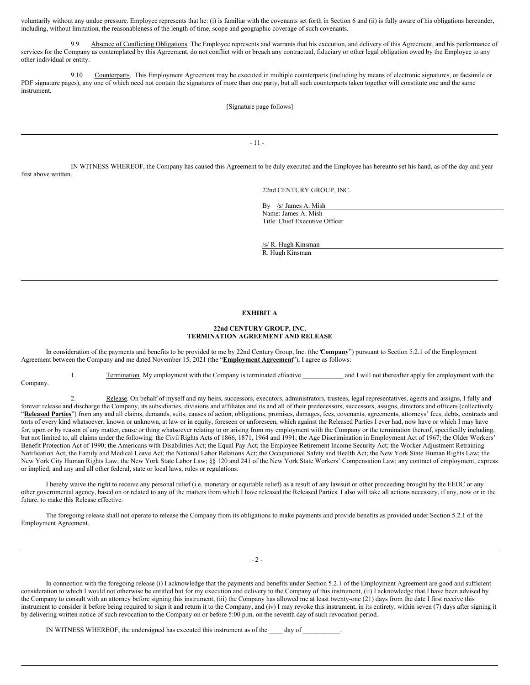voluntarily without any undue pressure. Employee represents that he: (i) is familiar with the covenants set forth in Section 6 and (ii) is fully aware of his obligations hereunder, including, without limitation, the reasonableness of the length of time, scope and geographic coverage of such covenants.

9.9 Absence of Conflicting Obligations. The Employee represents and warrants that his execution, and delivery of this Agreement, and his performance of services for the Company as contemplated by this Agreement, do not conflict with or breach any contractual, fiduciary or other legal obligation owed by the Employee to any other individual or entity.

9.10 Counterparts. This Employment Agreement may be executed in multiple counterparts (including by means of electronic signatures, or facsimile or PDF signature pages), any one of which need not contain the signatures of more than one party, but all such counterparts taken together will constitute one and the same instrument.

[Signature page follows]

- 11 -

IN WITNESS WHEREOF, the Company has caused this Agreement to be duly executed and the Employee has hereunto set his hand, as of the day and year first above written.

22nd CENTURY GROUP, INC.

By /s/ James A. Mish Name: James A. Mish Title: Chief Executive Officer

/s/ R. Hugh Kinsman R. Hugh Kinsman

# **EXHIBIT A**

## **22nd CENTURY GROUP, INC. TERMINATION AGREEMENT AND RELEASE**

In consideration of the payments and benefits to be provided to me by 22nd Century Group, Inc. (the "**Company**") pursuant to Section 5.2.1 of the Employment Agreement between the Company and me dated November 15, 2021 (the "**Employment Agreement**"), I agree as follows:

1. Termination. My employment with the Company is terminated effective \_\_\_\_\_\_\_\_\_\_\_\_ and I will not thereafter apply for employment with the Company.

2. Release. On behalf of myself and my heirs, successors, executors, administrators, trustees, legal representatives, agents and assigns, I fully and forever release and discharge the Company, its subsidiaries, divisions and affiliates and its and all of their predecessors, successors, assigns, directors and officers (collectively "Released Parties") from any and all claims, demands, suits, causes of action, obligations, promises, damages, fees, covenants, agreements, attorneys' fees, debts, contracts and torts of every kind whatsoever, known or unknown, at law or in equity, foreseen or unforeseen, which against the Released Parties I ever had, now have or which I may have for, upon or by reason of any matter, cause or thing whatsoever relating to or arising from my employment with the Company or the termination thereof, specifically including, but not limited to, all claims under the following: the Civil Rights Acts of 1866, 1871, 1964 and 1991; the Age Discrimination in Employment Act of 1967; the Older Workers' Benefit Protection Act of 1990; the Americans with Disabilities Act; the Equal Pay Act; the Employee Retirement Income Security Act; the Worker Adjustment Retraining Notification Act; the Family and Medical Leave Act; the National Labor Relations Act; the Occupational Safety and Health Act; the New York State Human Rights Law; the New York City Human Rights Law; the New York State Labor Law; §§ 120 and 241 of the New York State Workers' Compensation Law; any contract of employment, express or implied; and any and all other federal, state or local laws, rules or regulations.

I hereby waive the right to receive any personal relief (i.e. monetary or equitable relief) as a result of any lawsuit or other proceeding brought by the EEOC or any other governmental agency, based on or related to any of the matters from which I have released the Released Parties. I also will take all actions necessary, if any, now or in the future, to make this Release effective.

The foregoing release shall not operate to release the Company from its obligations to make payments and provide benefits as provided under Section 5.2.1 of the Employment Agreement.

 $-2 -$ 

In connection with the foregoing release (i) I acknowledge that the payments and benefits under Section 5.2.1 of the Employment Agreement are good and sufficient consideration to which I would not otherwise be entitled but for my execution and delivery to the Company of this instrument, (ii) I acknowledge that I have been advised by the Company to consult with an attorney before signing this instrument, (iii) the Company has allowed me at least twenty-one (21) days from the date I first receive this instrument to consider it before being required to sign it and return it to the Company, and (iv) I may revoke this instrument, in its entirety, within seven (7) days after signing it by delivering written notice of such revocation to the Company on or before 5:00 p.m. on the seventh day of such revocation period.

IN WITNESS WHEREOF, the undersigned has executed this instrument as of the day of